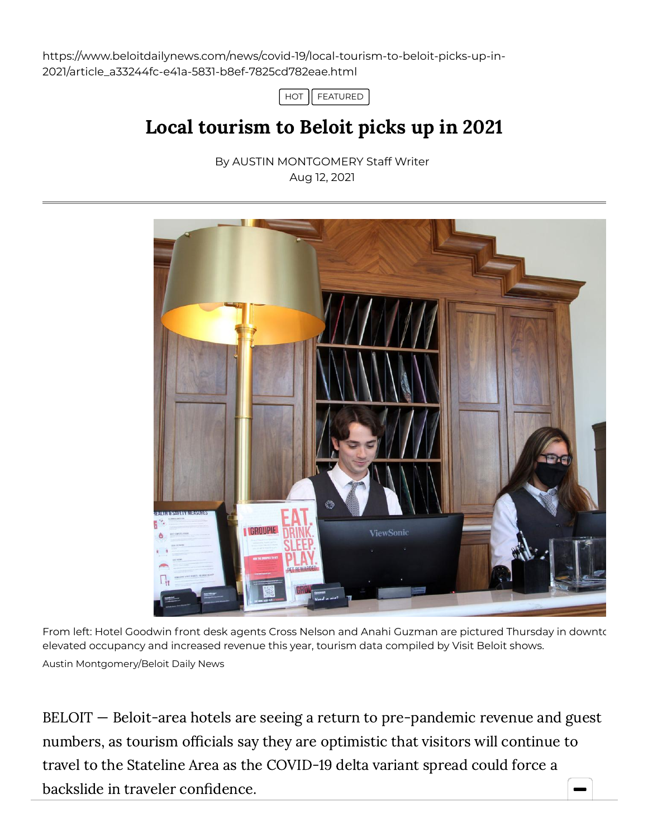https://www.beloitdailynews.com/news/covid-19/local-tourism-to-beloit-picks-up-in-2021/article\_a33244fc-e41a-5831-b8ef-7825cd782eae.html



## Local tourism to Beloit picks up in 2021

By AUSTIN [MONTGOMERY](https://www.beloitdailynews.com/users/profile/amontgomery) Staff Writer Aug 12, 2021



From left: Hotel Goodwin front desk agents Cross Nelson and Anahi Guzman are pictured Thursday in downto elevated occupancy and increased revenue this year, tourism data compiled by Visit Beloit shows. Austin Montgomery/Beloit Daily News

BELOIT — Beloit-area hotels are seeing a return to pre-pandemic revenue and guest numbers, as tourism officials say they are optimistic that visitors will continue to travel to the Stateline Area as the COVID-19 delta variant spread could force a backslide in traveler confidence.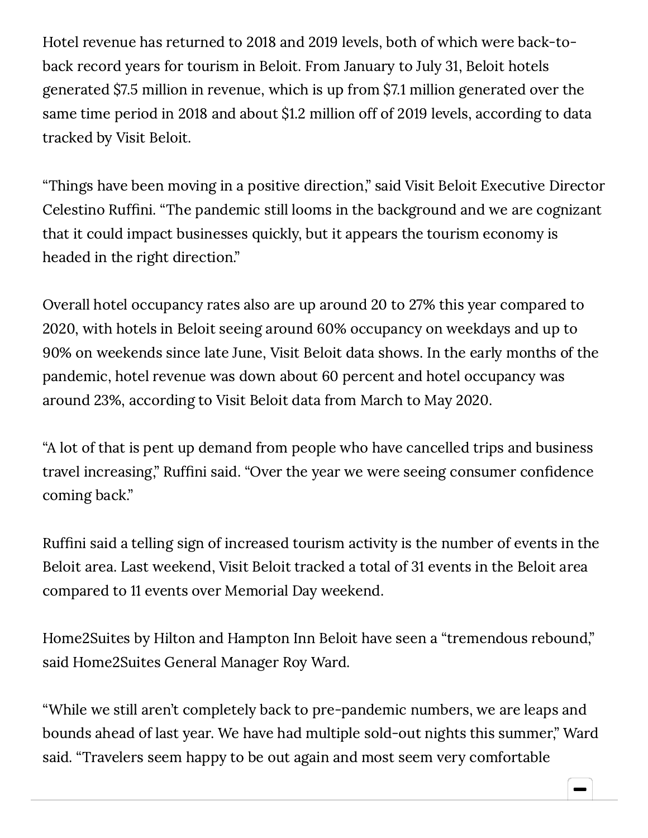Hotel revenue has returned to 2018 and 2019 levels, both of which were back-toback record years for tourism in Beloit. From January to July 31, Beloit hotels generated \$7.5 million in revenue, which is up from \$7.1 million generated over the same time period in 2018 and about \$1.2 million off of 2019 levels, according to data tracked by Visit Beloit.

"Things have been moving in a positive direction," said Visit Beloit Executive Director Celestino Ruffini. "The pandemic still looms in the background and we are cognizant that it could impact businesses quickly, but it appears the tourism economy is headed in the right direction."

Overall hotel occupancy rates also are up around 20 to 27% this year compared to 2020, with hotels in Beloit seeing around 60% occupancy on weekdays and up to 90% on weekends since late June, Visit Beloit data shows. In the early months of the pandemic, hotel revenue was down about 60 percent and hotel occupancy was around 23%, according to Visit Beloit data from March to May 2020.

"A lot of that is pent up demand from people who have cancelled trips and business travel increasing," Ruffini said. "Over the year we were seeing consumer confidence coming back."

Ruffini said a telling sign of increased tourism activity is the number of events in the Beloit area. Last weekend, Visit Beloit tracked a total of 31 events in the Beloit area compared to 11 events over Memorial Day weekend.

Home2Suites by Hilton and Hampton Inn Beloit have seen a "tremendous rebound," said Home2Suites General Manager Roy Ward.

"While we still aren't completely back to pre-pandemic numbers, we are leaps and bounds ahead of last year. We have had multiple sold-out nights this summer," Ward said. "Travelers seem happy to be out again and most seem very comfortable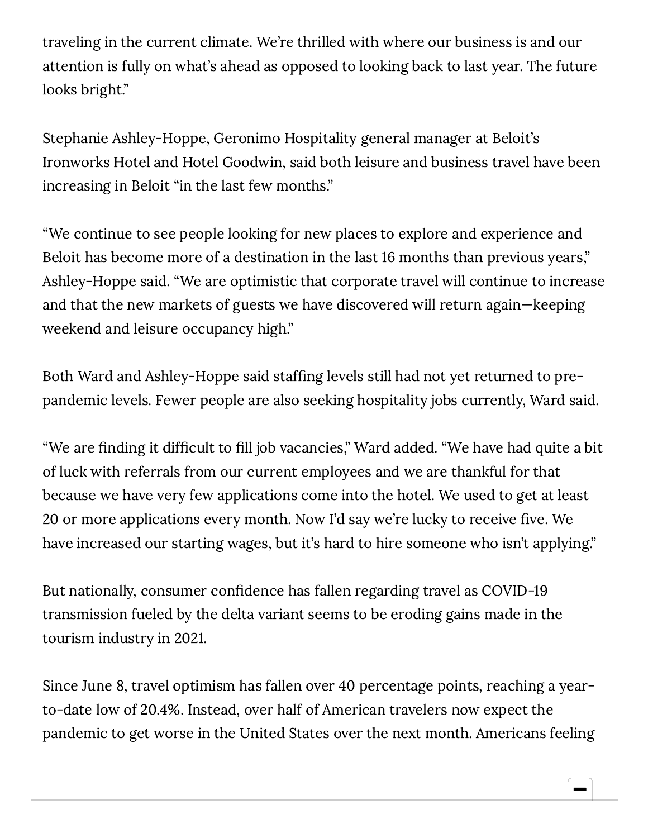traveling in the current climate. We're thrilled with where our business is and our attention is fully on what's ahead as opposed to looking back to last year. The future looks bright."

Stephanie Ashley-Hoppe, Geronimo Hospitality general manager at Beloit's Ironworks Hotel and Hotel Goodwin, said both leisure and business travel have been increasing in Beloit "in the last few months."

"We continue to see people looking for new places to explore and experience and Beloit has become more of a destination in the last 16 months than previous years," Ashley-Hoppe said. "We are optimistic that corporate travel will continue to increase and that the new markets of guests we have discovered will return again—keeping weekend and leisure occupancy high."

Both Ward and Ashley-Hoppe said staffing levels still had not yet returned to prepandemic levels. Fewer people are also seeking hospitality jobs currently, Ward said.

"We are finding it difficult to fill job vacancies," Ward added. "We have had quite a bit of luck with referrals from our current employees and we are thankful for that because we have very few applications come into the hotel. We used to get at least 20 or more applications every month. Now I'd say we're lucky to receive five. We have increased our starting wages, but it's hard to hire someone who isn't applying."

But nationally, consumer confidence has fallen regarding travel as COVID-19 transmission fueled by the delta variant seems to be eroding gains made in the tourism industry in 2021.

Since June 8, travel optimism has fallen over 40 percentage points, reaching a yearto-date low of 20.4%. Instead, over half of American travelers now expect the pandemic to get worse in the United States over the next month. Americans feeling